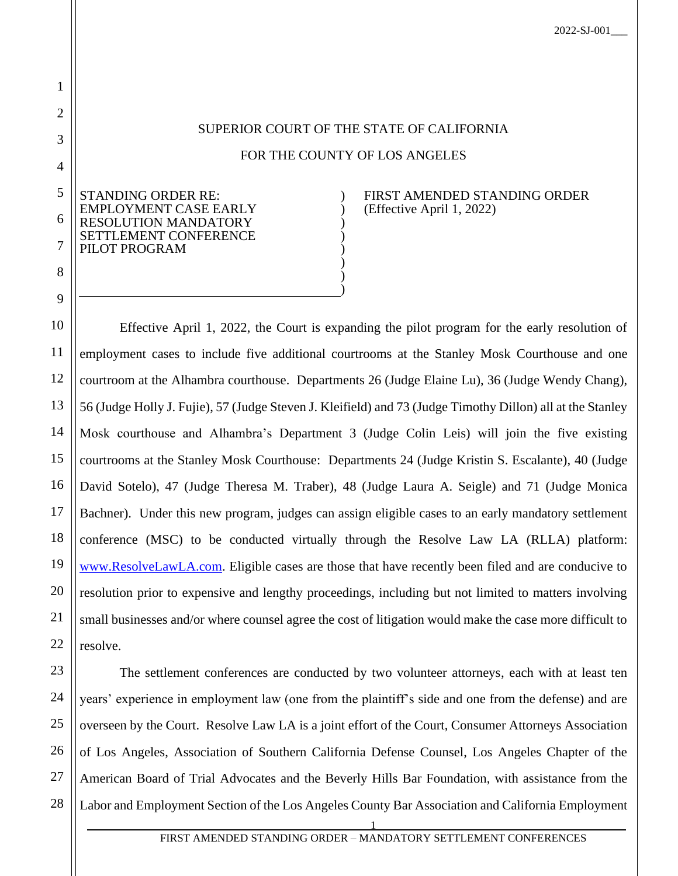2022-SJ-001\_\_\_

## SUPERIOR COURT OF THE STATE OF CALIFORNIA

## FOR THE COUNTY OF LOS ANGELES

) ) ) ) ) ) ) )

5 6 7 STANDING ORDER RE: EMPLOYMENT CASE EARLY SOLUTION MANDATORY SETTLEMENT CONFERENCE PILOT PROGRAM

1

2

3

4

8

9

FIRST AMENDED STANDING ORDER (Effective April 1, 2022)

10 11 12 13 14 15 16 17 18 19 20 21 22 Effective April 1, 2022, the Court is expanding the pilot program for the early resolution of employment cases to include five additional courtrooms at the Stanley Mosk Courthouse and one courtroom at the Alhambra courthouse. Departments 26 (Judge Elaine Lu), 36 (Judge Wendy Chang), 56 (Judge Holly J. Fujie), 57 (Judge Steven J. Kleifield) and 73 (Judge Timothy Dillon) all at the Stanley Mosk courthouse and Alhambra's Department 3 (Judge Colin Leis) will join the five existing courtrooms at the Stanley Mosk Courthouse: Departments 24 (Judge Kristin S. Escalante), 40 (Judge David Sotelo), 47 (Judge Theresa M. Traber), 48 (Judge Laura A. Seigle) and 71 (Judge Monica Bachner). Under this new program, judges can assign eligible cases to an early mandatory settlement conference (MSC) to be conducted virtually through the Resolve Law LA (RLLA) platform: [www.ResolveLawLA.com.](http://www.resolvelawla.com/) Eligible cases are those that have recently been filed and are conducive to resolution prior to expensive and lengthy proceedings, including but not limited to matters involving small businesses and/or where counsel agree the cost of litigation would make the case more difficult to resolve.

23 24 25 26 27 28 The settlement conferences are conducted by two volunteer attorneys, each with at least ten years' experience in employment law (one from the plaintiff's side and one from the defense) and are overseen by the Court. Resolve Law LA is a joint effort of the Court, Consumer Attorneys Association of Los Angeles, Association of Southern California Defense Counsel, Los Angeles Chapter of the American Board of Trial Advocates and the Beverly Hills Bar Foundation, with assistance from the Labor and Employment Section of the Los Angeles County Bar Association and California Employment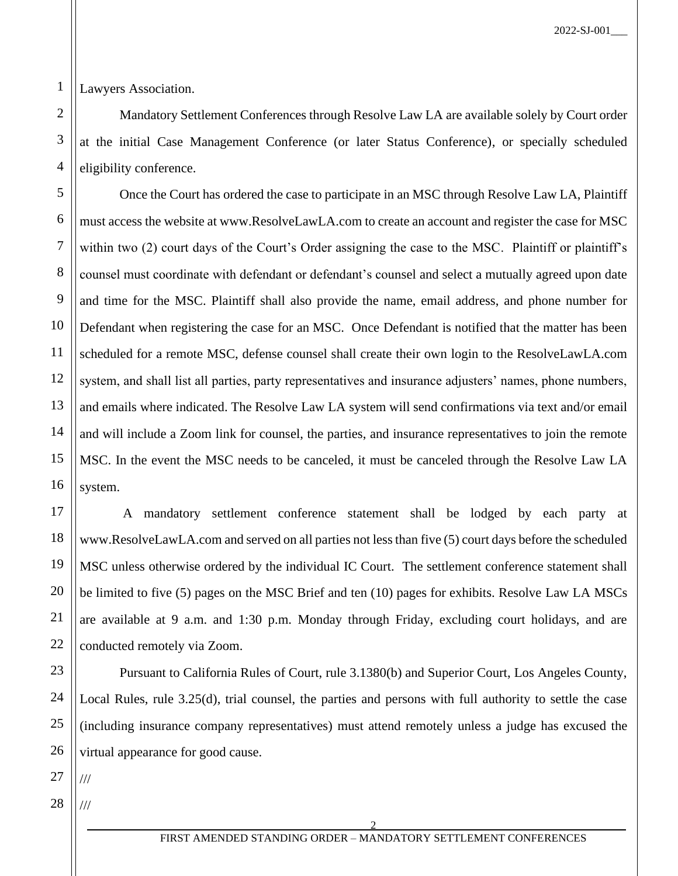1 Lawyers Association.

2

3

4

5

6

7

8

9

10

11

12

13

14

15

16

17

18

19

20

21

22

23

24

25

26

Mandatory Settlement Conferences through Resolve Law LA are available solely by Court order at the initial Case Management Conference (or later Status Conference), or specially scheduled eligibility conference.

Once the Court has ordered the case to participate in an MSC through Resolve Law LA, Plaintiff must access the website at www.ResolveLawLA.com to create an account and register the case for MSC within two (2) court days of the Court's Order assigning the case to the MSC. Plaintiff or plaintiff's counsel must coordinate with defendant or defendant's counsel and select a mutually agreed upon date and time for the MSC. Plaintiff shall also provide the name, email address, and phone number for Defendant when registering the case for an MSC. Once Defendant is notified that the matter has been scheduled for a remote MSC, defense counsel shall create their own login to the ResolveLawLA.com system, and shall list all parties, party representatives and insurance adjusters' names, phone numbers, and emails where indicated. The Resolve Law LA system will send confirmations via text and/or email and will include a Zoom link for counsel, the parties, and insurance representatives to join the remote MSC. In the event the MSC needs to be canceled, it must be canceled through the Resolve Law LA system.

A mandatory settlement conference statement shall be lodged by each party at www.ResolveLawLA.com and served on all parties not less than five (5) court days before the scheduled MSC unless otherwise ordered by the individual IC Court. The settlement conference statement shall be limited to five (5) pages on the MSC Brief and ten (10) pages for exhibits. Resolve Law LA MSCs are available at 9 a.m. and 1:30 p.m. Monday through Friday, excluding court holidays, and are conducted remotely via Zoom.

Pursuant to California Rules of Court, rule 3.1380(b) and Superior Court, Los Angeles County, Local Rules, rule 3.25(d), trial counsel, the parties and persons with full authority to settle the case (including insurance company representatives) must attend remotely unless a judge has excused the virtual appearance for good cause.

27 ///

28 ///